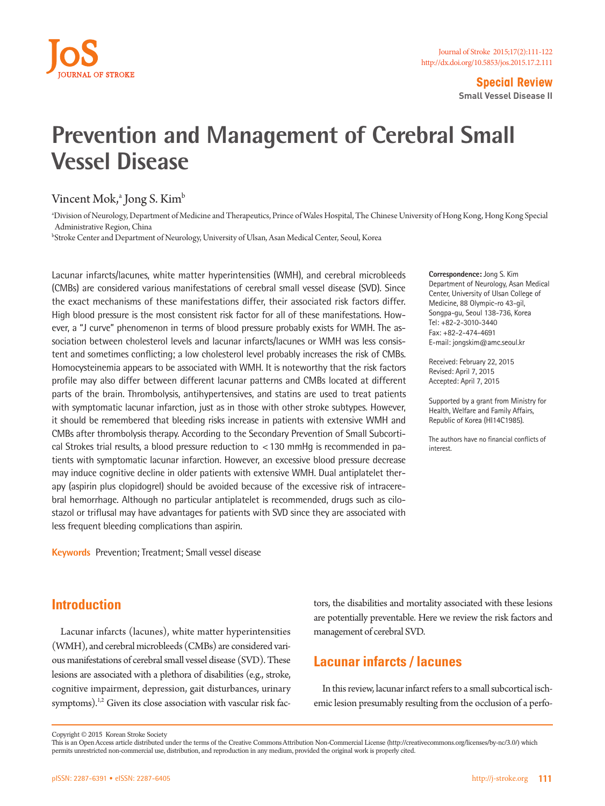

**Special Review Small Vessel Disease II**

# **Prevention and Management of Cerebral Small Vessel Disease**

## Vincent Mok, $^{\rm a}$ Jong S. Kim $^{\rm b}$

a Division of Neurology, Department of Medicine and Therapeutics, Prince of Wales Hospital, The Chinese University of Hong Kong, Hong Kong Special Administrative Region, China

b Stroke Center and Department of Neurology, University of Ulsan, Asan Medical Center, Seoul, Korea

Lacunar infarcts/lacunes, white matter hyperintensities (WMH), and cerebral microbleeds (CMBs) are considered various manifestations of cerebral small vessel disease (SVD). Since the exact mechanisms of these manifestations differ, their associated risk factors differ. High blood pressure is the most consistent risk factor for all of these manifestations. However, a "J curve" phenomenon in terms of blood pressure probably exists for WMH. The association between cholesterol levels and lacunar infarcts/lacunes or WMH was less consistent and sometimes conflicting; a low cholesterol level probably increases the risk of CMBs. Homocysteinemia appears to be associated with WMH. It is noteworthy that the risk factors profile may also differ between different lacunar patterns and CMBs located at different parts of the brain. Thrombolysis, antihypertensives, and statins are used to treat patients with symptomatic lacunar infarction, just as in those with other stroke subtypes. However, it should be remembered that bleeding risks increase in patients with extensive WMH and CMBs after thrombolysis therapy. According to the Secondary Prevention of Small Subcortical Strokes trial results, a blood pressure reduction to <130 mmHg is recommended in patients with symptomatic lacunar infarction. However, an excessive blood pressure decrease may induce cognitive decline in older patients with extensive WMH. Dual antiplatelet therapy (aspirin plus clopidogrel) should be avoided because of the excessive risk of intracerebral hemorrhage. Although no particular antiplatelet is recommended, drugs such as cilostazol or triflusal may have advantages for patients with SVD since they are associated with less frequent bleeding complications than aspirin.

**Keywords** Prevention; Treatment; Small vessel disease

**Correspondence:** Jong S. Kim Department of Neurology, Asan Medical Center, University of Ulsan College of Medicine, 88 Olympic-ro 43-gil, Songpa-gu, Seoul 138-736, Korea Tel: +82-2-3010-3440 Fax: +82-2-474-4691 E-mail: jongskim@amc.seoul.kr

Received: February 22, 2015 Revised: April 7, 2015 Accepted: April 7, 2015

Supported by a grant from Ministry for Health, Welfare and Family Affairs, Republic of Korea (HI14C1985).

The authors have no financial conflicts of interest.

## **Introduction**

Lacunar infarcts (lacunes), white matter hyperintensities (WMH), and cerebral microbleeds (CMBs) are considered various manifestations of cerebral small vessel disease (SVD). These lesions are associated with a plethora of disabilities (e.g., stroke, cognitive impairment, depression, gait disturbances, urinary symptoms). $1,2}$  Given its close association with vascular risk factors, the disabilities and mortality associated with these lesions are potentially preventable. Here we review the risk factors and management of cerebral SVD.

## **Lacunar infarcts / lacunes**

In this review, lacunar infarct refers to a small subcortical ischemic lesion presumably resulting from the occlusion of a perfo-

Copyright © 2015 Korean Stroke Society

This is an Open Access article distributed under the terms of the Creative Commons Attribution Non-Commercial License (http://creativecommons.org/licenses/by-nc/3.0/) which permits unrestricted non-commercial use, distribution, and reproduction in any medium, provided the original work is properly cited.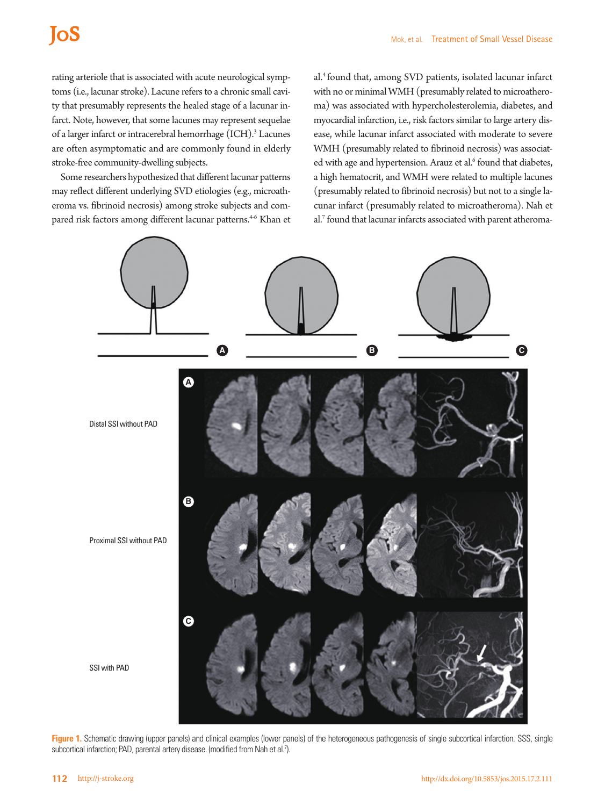rating arteriole that is associated with acute neurological symptoms (i.e., lacunar stroke). Lacune refers to a chronic small cavity that presumably represents the healed stage of a lacunar infarct. Note, however, that some lacunes may represent sequelae of a larger infarct or intracerebral hemorrhage (ICH).<sup>3</sup> Lacunes are often asymptomatic and are commonly found in elderly stroke-free community-dwelling subjects.

Some researchers hypothesized that different lacunar patterns may reflect different underlying SVD etiologies (e.g., microatheroma vs. fibrinoid necrosis) among stroke subjects and compared risk factors among different lacunar patterns.<sup>4-6</sup> Khan et

al.4 found that, among SVD patients, isolated lacunar infarct with no or minimal WMH (presumably related to microatheroma) was associated with hypercholesterolemia, diabetes, and myocardial infarction, i.e., risk factors similar to large artery disease, while lacunar infarct associated with moderate to severe WMH (presumably related to fibrinoid necrosis) was associated with age and hypertension. Arauz et al.<sup>6</sup> found that diabetes, a high hematocrit, and WMH were related to multiple lacunes (presumably related to fibrinoid necrosis) but not to a single lacunar infarct (presumably related to microatheroma). Nah et al.7 found that lacunar infarcts associated with parent atheroma-



Figure 1. Schematic drawing (upper panels) and clinical examples (lower panels) of the heterogeneous pathogenesis of single subcortical infarction. SSS, single subcortical infarction; PAD, parental artery disease. (modified from Nah et al.<sup>7</sup>).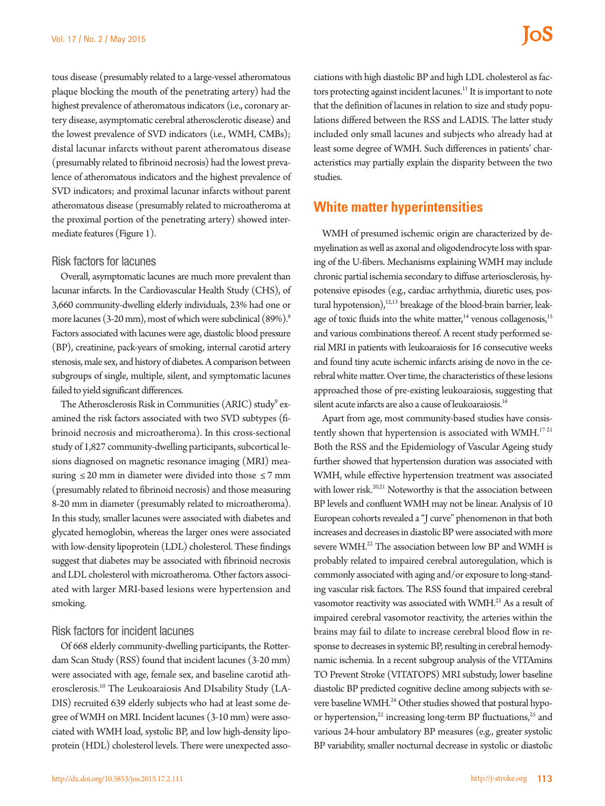tous disease (presumably related to a large-vessel atheromatous plaque blocking the mouth of the penetrating artery) had the highest prevalence of atheromatous indicators (i.e., coronary artery disease, asymptomatic cerebral atherosclerotic disease) and the lowest prevalence of SVD indicators (i.e., WMH, CMBs); distal lacunar infarcts without parent atheromatous disease (presumably related to fibrinoid necrosis) had the lowest prevalence of atheromatous indicators and the highest prevalence of SVD indicators; and proximal lacunar infarcts without parent atheromatous disease (presumably related to microatheroma at the proximal portion of the penetrating artery) showed intermediate features (Figure 1).

#### Risk factors for lacunes

Overall, asymptomatic lacunes are much more prevalent than lacunar infarcts. In the Cardiovascular Health Study (CHS), of 3,660 community-dwelling elderly individuals, 23% had one or more lacunes (3-20 mm), most of which were subclinical (89%).<sup>8</sup> Factors associated with lacunes were age, diastolic blood pressure (BP), creatinine, pack-years of smoking, internal carotid artery stenosis, male sex, and history of diabetes. A comparison between subgroups of single, multiple, silent, and symptomatic lacunes failed to yield significant differences.

The Atherosclerosis Risk in Communities (ARIC) study<sup>9</sup> examined the risk factors associated with two SVD subtypes (fibrinoid necrosis and microatheroma). In this cross-sectional study of 1,827 community-dwelling participants, subcortical lesions diagnosed on magnetic resonance imaging (MRI) measuring ≤ 20 mm in diameter were divided into those ≤ 7 mm (presumably related to fibrinoid necrosis) and those measuring 8-20 mm in diameter (presumably related to microatheroma). In this study, smaller lacunes were associated with diabetes and glycated hemoglobin, whereas the larger ones were associated with low-density lipoprotein (LDL) cholesterol. These findings suggest that diabetes may be associated with fibrinoid necrosis and LDL cholesterol with microatheroma. Other factors associated with larger MRI-based lesions were hypertension and smoking.

#### Risk factors for incident lacunes

Of 668 elderly community-dwelling participants, the Rotterdam Scan Study (RSS) found that incident lacunes (3-20 mm) were associated with age, female sex, and baseline carotid atherosclerosis.10 The Leukoaraiosis And DIsability Study (LA-DIS) recruited 639 elderly subjects who had at least some degree of WMH on MRI. Incident lacunes (3-10 mm) were associated with WMH load, systolic BP, and low high-density lipoprotein (HDL) cholesterol levels. There were unexpected asso-

ciations with high diastolic BP and high LDL cholesterol as factors protecting against incident lacunes.<sup>11</sup> It is important to note that the definition of lacunes in relation to size and study populations differed between the RSS and LADIS. The latter study included only small lacunes and subjects who already had at least some degree of WMH. Such differences in patients' characteristics may partially explain the disparity between the two studies.

## **White matter hyperintensities**

WMH of presumed ischemic origin are characterized by demyelination as well as axonal and oligodendrocyte loss with sparing of the U-fibers. Mechanisms explaining WMH may include chronic partial ischemia secondary to diffuse arteriosclerosis, hypotensive episodes (e.g., cardiac arrhythmia, diuretic uses, postural hypotension), $12,13$  breakage of the blood-brain barrier, leakage of toxic fluids into the white matter, $14$  venous collagenosis, $15$ and various combinations thereof. A recent study performed serial MRI in patients with leukoaraiosis for 16 consecutive weeks and found tiny acute ischemic infarcts arising de novo in the cerebral white matter. Over time, the characteristics of these lesions approached those of pre-existing leukoaraiosis, suggesting that silent acute infarcts are also a cause of leukoaraiosis.<sup>16</sup>

Apart from age, most community-based studies have consistently shown that hypertension is associated with WMH.<sup>17-21</sup> Both the RSS and the Epidemiology of Vascular Ageing study further showed that hypertension duration was associated with WMH, while effective hypertension treatment was associated with lower risk.<sup>20,21</sup> Noteworthy is that the association between BP levels and confluent WMH may not be linear. Analysis of 10 European cohorts revealed a "J curve" phenomenon in that both increases and decreases in diastolic BP were associated with more severe WMH.<sup>22</sup> The association between low BP and WMH is probably related to impaired cerebral autoregulation, which is commonly associated with aging and/or exposure to long-standing vascular risk factors. The RSS found that impaired cerebral vasomotor reactivity was associated with WMH.<sup>23</sup> As a result of impaired cerebral vasomotor reactivity, the arteries within the brains may fail to dilate to increase cerebral blood flow in response to decreases in systemic BP, resulting in cerebral hemodynamic ischemia. In a recent subgroup analysis of the VITAmins TO Prevent Stroke (VITATOPS) MRI substudy, lower baseline diastolic BP predicted cognitive decline among subjects with severe baseline WMH.<sup>24</sup> Other studies showed that postural hypoor hypertension, $^{22}$  increasing long-term BP fluctuations, $^{25}$  and various 24-hour ambulatory BP measures (e.g., greater systolic BP variability, smaller nocturnal decrease in systolic or diastolic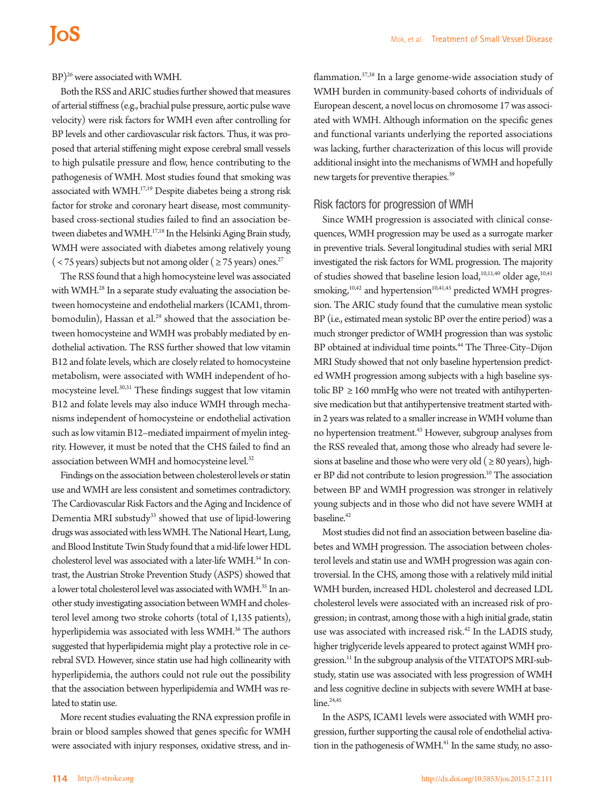#### BP)<sup>26</sup> were associated with WMH.

Both the RSS and ARIC studies further showed that measures of arterial stiffness (e.g., brachial pulse pressure, aortic pulse wave velocity) were risk factors for WMH even after controlling for BP levels and other cardiovascular risk factors. Thus, it was proposed that arterial stiffening might expose cerebral small vessels to high pulsatile pressure and flow, hence contributing to the pathogenesis of WMH. Most studies found that smoking was associated with WMH.17,19 Despite diabetes being a strong risk factor for stroke and coronary heart disease, most communitybased cross-sectional studies failed to find an association between diabetes and WMH.17,18 In the Helsinki Aging Brain study, WMH were associated with diabetes among relatively young ( < 75 years) subjects but not among older (  $\geq$  75 years) ones.<sup>27</sup>

The RSS found that a high homocysteine level was associated with WMH.<sup>28</sup> In a separate study evaluating the association between homocysteine and endothelial markers (ICAM1, thrombomodulin), Hassan et al.<sup>29</sup> showed that the association between homocysteine and WMH was probably mediated by endothelial activation. The RSS further showed that low vitamin B12 and folate levels, which are closely related to homocysteine metabolism, were associated with WMH independent of homocysteine level.30,31 These findings suggest that low vitamin B12 and folate levels may also induce WMH through mechanisms independent of homocysteine or endothelial activation such as low vitamin B12–mediated impairment of myelin integrity. However, it must be noted that the CHS failed to find an association between WMH and homocysteine level.<sup>32</sup>

Findings on the association between cholesterol levels or statin use and WMH are less consistent and sometimes contradictory. The Cardiovascular Risk Factors and the Aging and Incidence of Dementia MRI substudy<sup>33</sup> showed that use of lipid-lowering drugs was associated with less WMH. The National Heart, Lung, and Blood Institute Twin Study found that a mid-life lower HDL cholesterol level was associated with a later-life WMH.<sup>34</sup> In contrast, the Austrian Stroke Prevention Study (ASPS) showed that a lower total cholesterol level was associated with WMH.<sup>35</sup> In another study investigating association between WMH and cholesterol level among two stroke cohorts (total of 1,135 patients), hyperlipidemia was associated with less WMH.<sup>36</sup> The authors suggested that hyperlipidemia might play a protective role in cerebral SVD. However, since statin use had high collinearity with hyperlipidemia, the authors could not rule out the possibility that the association between hyperlipidemia and WMH was related to statin use.

More recent studies evaluating the RNA expression profile in brain or blood samples showed that genes specific for WMH were associated with injury responses, oxidative stress, and in-

flammation.37,38 In a large genome-wide association study of WMH burden in community-based cohorts of individuals of European descent, a novel locus on chromosome 17 was associated with WMH. Although information on the specific genes and functional variants underlying the reported associations was lacking, further characterization of this locus will provide additional insight into the mechanisms of WMH and hopefully new targets for preventive therapies.<sup>39</sup>

### Risk factors for progression of WMH

Since WMH progression is associated with clinical consequences, WMH progression may be used as a surrogate marker in preventive trials. Several longitudinal studies with serial MRI investigated the risk factors for WML progression. The majority of studies showed that baseline lesion load, $10,11,40$  older age, $10,41$ smoking,<sup>10,42</sup> and hypertension<sup>10,41,43</sup> predicted WMH progression. The ARIC study found that the cumulative mean systolic BP (i.e., estimated mean systolic BP over the entire period) was a much stronger predictor of WMH progression than was systolic BP obtained at individual time points.44 The Three-City–Dijon MRI Study showed that not only baseline hypertension predicted WMH progression among subjects with a high baseline systolic  $BP \ge 160$  mmHg who were not treated with antihypertensive medication but that antihypertensive treatment started within 2 years was related to a smaller increase in WMH volume than no hypertension treatment.<sup>43</sup> However, subgroup analyses from the RSS revealed that, among those who already had severe lesions at baseline and those who were very old ( $\geq 80$  years), higher BP did not contribute to lesion progression.<sup>10</sup> The association between BP and WMH progression was stronger in relatively young subjects and in those who did not have severe WMH at baseline.<sup>42</sup>

Most studies did not find an association between baseline diabetes and WMH progression. The association between cholesterol levels and statin use and WMH progression was again controversial. In the CHS, among those with a relatively mild initial WMH burden, increased HDL cholesterol and decreased LDL cholesterol levels were associated with an increased risk of progression; in contrast, among those with a high initial grade, statin use was associated with increased risk.<sup>42</sup> In the LADIS study, higher triglyceride levels appeared to protect against WMH progression.<sup>11</sup> In the subgroup analysis of the VITATOPS MRI-substudy, statin use was associated with less progression of WMH and less cognitive decline in subjects with severe WMH at base $line.$ <sup>24,45</sup>

In the ASPS, ICAM1 levels were associated with WMH progression, further supporting the causal role of endothelial activation in the pathogenesis of WMH.<sup>41</sup> In the same study, no asso-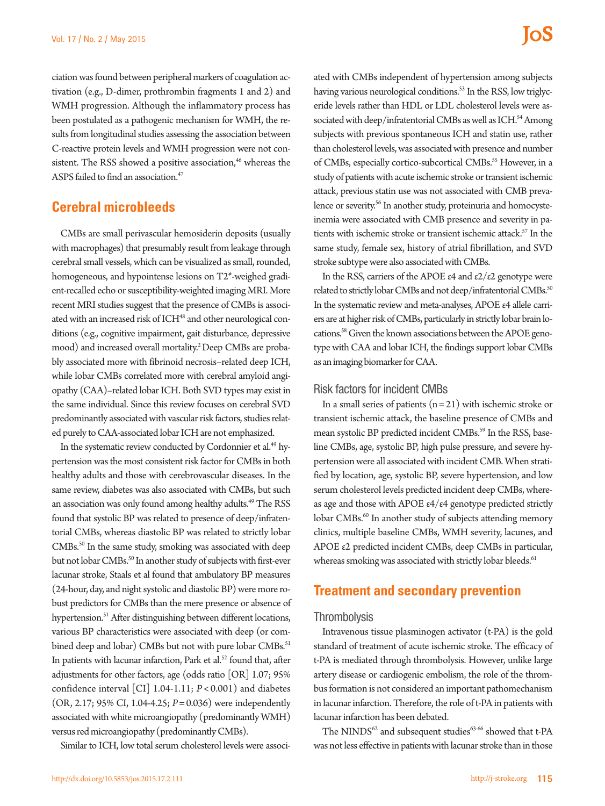ciation was found between peripheral markers of coagulation activation (e.g., D-dimer, prothrombin fragments 1 and 2) and WMH progression. Although the inflammatory process has been postulated as a pathogenic mechanism for WMH, the results from longitudinal studies assessing the association between C-reactive protein levels and WMH progression were not consistent. The RSS showed a positive association,<sup>46</sup> whereas the ASPS failed to find an association.<sup>47</sup>

## **Cerebral microbleeds**

CMBs are small perivascular hemosiderin deposits (usually with macrophages) that presumably result from leakage through cerebral small vessels, which can be visualized as small, rounded, homogeneous, and hypointense lesions on T2\*-weighed gradient-recalled echo or susceptibility-weighted imaging MRI. More recent MRI studies suggest that the presence of CMBs is associated with an increased risk of ICH<sup>48</sup> and other neurological conditions (e.g., cognitive impairment, gait disturbance, depressive mood) and increased overall mortality.2 Deep CMBs are probably associated more with fibrinoid necrosis–related deep ICH, while lobar CMBs correlated more with cerebral amyloid angiopathy (CAA)–related lobar ICH. Both SVD types may exist in the same individual. Since this review focuses on cerebral SVD predominantly associated with vascular risk factors, studies related purely to CAA-associated lobar ICH are not emphasized.

In the systematic review conducted by Cordonnier et al.49 hypertension was the most consistent risk factor for CMBs in both healthy adults and those with cerebrovascular diseases. In the same review, diabetes was also associated with CMBs, but such an association was only found among healthy adults.<sup>49</sup> The RSS found that systolic BP was related to presence of deep/infratentorial CMBs, whereas diastolic BP was related to strictly lobar CMBs.<sup>50</sup> In the same study, smoking was associated with deep but not lobar CMBs.<sup>50</sup> In another study of subjects with first-ever lacunar stroke, Staals et al found that ambulatory BP measures (24-hour, day, and night systolic and diastolic BP) were more robust predictors for CMBs than the mere presence or absence of hypertension.<sup>51</sup> After distinguishing between different locations, various BP characteristics were associated with deep (or combined deep and lobar) CMBs but not with pure lobar CMBs.<sup>51</sup> In patients with lacunar infarction, Park et al. $52$  found that, after adjustments for other factors, age (odds ratio [OR] 1.07; 95% confidence interval [CI] 1.04-1.11; *P*< 0.001) and diabetes (OR, 2.17; 95% CI, 1.04-4.25; *P*= 0.036) were independently associated with white microangiopathy (predominantly WMH) versus red microangiopathy (predominantly CMBs).

Similar to ICH, low total serum cholesterol levels were associ-

ated with CMBs independent of hypertension among subjects having various neurological conditions.<sup>53</sup> In the RSS, low triglyceride levels rather than HDL or LDL cholesterol levels were associated with deep/infratentorial CMBs as well as ICH.<sup>54</sup> Among subjects with previous spontaneous ICH and statin use, rather than cholesterol levels, was associated with presence and number of CMBs, especially cortico-subcortical CMBs.<sup>55</sup> However, in a study of patients with acute ischemic stroke or transient ischemic attack, previous statin use was not associated with CMB prevalence or severity.<sup>56</sup> In another study, proteinuria and homocysteinemia were associated with CMB presence and severity in patients with ischemic stroke or transient ischemic attack.<sup>57</sup> In the same study, female sex, history of atrial fibrillation, and SVD stroke subtype were also associated with CMBs.

In the RSS, carriers of the APOE  $\varepsilon$ 4 and  $\varepsilon$ 2/ $\varepsilon$ 2 genotype were related to strictly lobar CMBs and not deep/infratentorial CMBs.<sup>50</sup> In the systematic review and meta-analyses, APOE ε4 allele carriers are at higher risk of CMBs, particularly in strictly lobar brain locations.58 Given the known associations between the APOE genotype with CAA and lobar ICH, the findings support lobar CMBs as an imaging biomarker for CAA.

### Risk factors for incident CMBs

In a small series of patients  $(n=21)$  with ischemic stroke or transient ischemic attack, the baseline presence of CMBs and mean systolic BP predicted incident CMBs.<sup>59</sup> In the RSS, baseline CMBs, age, systolic BP, high pulse pressure, and severe hypertension were all associated with incident CMB. When stratified by location, age, systolic BP, severe hypertension, and low serum cholesterol levels predicted incident deep CMBs, whereas age and those with APOE ε4/ε4 genotype predicted strictly lobar CMBs.<sup>60</sup> In another study of subjects attending memory clinics, multiple baseline CMBs, WMH severity, lacunes, and APOE ε2 predicted incident CMBs, deep CMBs in particular, whereas smoking was associated with strictly lobar bleeds.<sup>61</sup>

## **Treatment and secondary prevention**

### **Thrombolysis**

Intravenous tissue plasminogen activator (t-PA) is the gold standard of treatment of acute ischemic stroke. The efficacy of t-PA is mediated through thrombolysis. However, unlike large artery disease or cardiogenic embolism, the role of the thrombus formation is not considered an important pathomechanism in lacunar infarction. Therefore, the role of t-PA in patients with lacunar infarction has been debated.

The NINDS<sup>62</sup> and subsequent studies<sup>63-66</sup> showed that t-PA was not less effective in patients with lacunar stroke than in those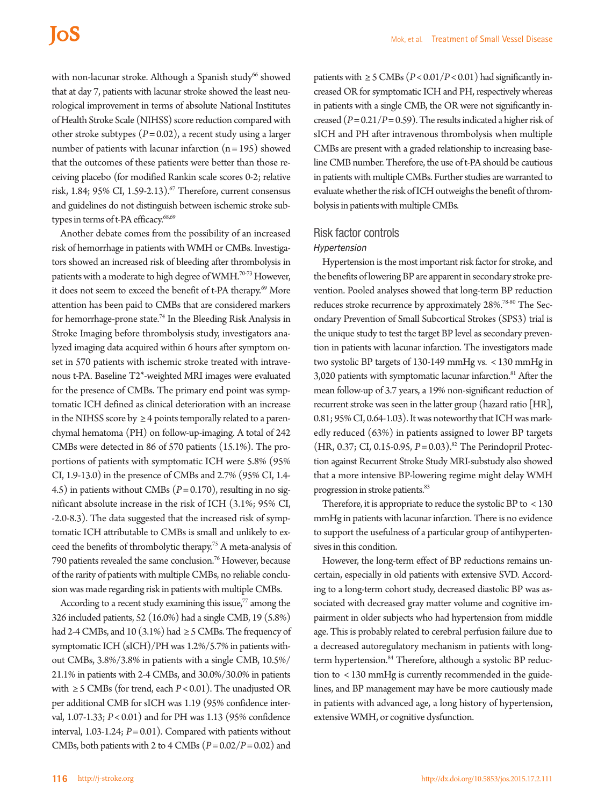with non-lacunar stroke. Although a Spanish study<sup>66</sup> showed that at day 7, patients with lacunar stroke showed the least neurological improvement in terms of absolute National Institutes of Health Stroke Scale (NIHSS) score reduction compared with other stroke subtypes  $(P= 0.02)$ , a recent study using a larger number of patients with lacunar infarction  $(n = 195)$  showed that the outcomes of these patients were better than those receiving placebo (for modified Rankin scale scores 0-2; relative risk, 1.84; 95% CI, 1.59-2.13).<sup>67</sup> Therefore, current consensus and guidelines do not distinguish between ischemic stroke subtypes in terms of t-PA efficacy.<sup>68,69</sup>

Another debate comes from the possibility of an increased risk of hemorrhage in patients with WMH or CMBs. Investigators showed an increased risk of bleeding after thrombolysis in patients with a moderate to high degree of WMH.<sup>70-73</sup> However, it does not seem to exceed the benefit of t-PA therapy.<sup>69</sup> More attention has been paid to CMBs that are considered markers for hemorrhage-prone state.<sup>74</sup> In the Bleeding Risk Analysis in Stroke Imaging before thrombolysis study, investigators analyzed imaging data acquired within 6 hours after symptom onset in 570 patients with ischemic stroke treated with intravenous t-PA. Baseline T2\*-weighted MRI images were evaluated for the presence of CMBs. The primary end point was symptomatic ICH defined as clinical deterioration with an increase in the NIHSS score by  $\geq$  4 points temporally related to a parenchymal hematoma (PH) on follow-up-imaging. A total of 242 CMBs were detected in 86 of 570 patients (15.1%). The proportions of patients with symptomatic ICH were 5.8% (95% CI, 1.9-13.0) in the presence of CMBs and 2.7% (95% CI, 1.4- 4.5) in patients without CMBs (*P*= 0.170), resulting in no significant absolute increase in the risk of ICH (3.1%; 95% CI, -2.0-8.3). The data suggested that the increased risk of symptomatic ICH attributable to CMBs is small and unlikely to exceed the benefits of thrombolytic therapy.75 A meta-analysis of 790 patients revealed the same conclusion.76 However, because of the rarity of patients with multiple CMBs, no reliable conclusion was made regarding risk in patients with multiple CMBs.

According to a recent study examining this issue, $77$  among the 326 included patients, 52 (16.0%) had a single CMB, 19 (5.8%) had 2-4 CMBs, and 10 (3.1%) had  $\geq$  5 CMBs. The frequency of symptomatic ICH (sICH)/PH was 1.2%/5.7% in patients without CMBs, 3.8%/3.8% in patients with a single CMB, 10.5%/ 21.1% in patients with 2-4 CMBs, and 30.0%/30.0% in patients with ≥ 5 CMBs (for trend, each *P*< 0.01). The unadjusted OR per additional CMB for sICH was 1.19 (95% confidence interval, 1.07-1.33; *P*< 0.01) and for PH was 1.13 (95% confidence interval, 1.03-1.24; *P*= 0.01). Compared with patients without CMBs, both patients with 2 to 4 CMBs (*P*= 0.02/*P*= 0.02) and

patients with  $\geq$  5 CMBs ( $P$  < 0.01/ $P$  < 0.01) had significantly increased OR for symptomatic ICH and PH, respectively whereas in patients with a single CMB, the OR were not significantly increased  $(P = 0.21/P = 0.59)$ . The results indicated a higher risk of sICH and PH after intravenous thrombolysis when multiple CMBs are present with a graded relationship to increasing baseline CMB number. Therefore, the use of t-PA should be cautious in patients with multiple CMBs. Further studies are warranted to evaluate whether the risk of ICH outweighs the benefit of thrombolysis in patients with multiple CMBs.

### Risk factor controls Hypertension

Hypertension is the most important risk factor for stroke, and the benefits of lowering BP are apparent in secondary stroke prevention. Pooled analyses showed that long-term BP reduction reduces stroke recurrence by approximately 28%.<sup>78-80</sup> The Secondary Prevention of Small Subcortical Strokes (SPS3) trial is the unique study to test the target BP level as secondary prevention in patients with lacunar infarction. The investigators made two systolic BP targets of 130-149 mmHg vs. < 130 mmHg in 3,020 patients with symptomatic lacunar infarction.<sup>81</sup> After the mean follow-up of 3.7 years, a 19% non-significant reduction of recurrent stroke was seen in the latter group (hazard ratio [HR], 0.81; 95% CI, 0.64-1.03). It was noteworthy that ICH was markedly reduced (63%) in patients assigned to lower BP targets (HR, 0.37; CI, 0.15-0.95, *P* = 0.03).<sup>82</sup> The Perindopril Protection against Recurrent Stroke Study MRI-substudy also showed that a more intensive BP-lowering regime might delay WMH progression in stroke patients.<sup>83</sup>

Therefore, it is appropriate to reduce the systolic BP to < 130 mmHg in patients with lacunar infarction. There is no evidence to support the usefulness of a particular group of antihypertensives in this condition.

However, the long-term effect of BP reductions remains uncertain, especially in old patients with extensive SVD. According to a long-term cohort study, decreased diastolic BP was associated with decreased gray matter volume and cognitive impairment in older subjects who had hypertension from middle age. This is probably related to cerebral perfusion failure due to a decreased autoregulatory mechanism in patients with longterm hypertension.<sup>84</sup> Therefore, although a systolic BP reduction to < 130 mmHg is currently recommended in the guidelines, and BP management may have be more cautiously made in patients with advanced age, a long history of hypertension, extensive WMH, or cognitive dysfunction.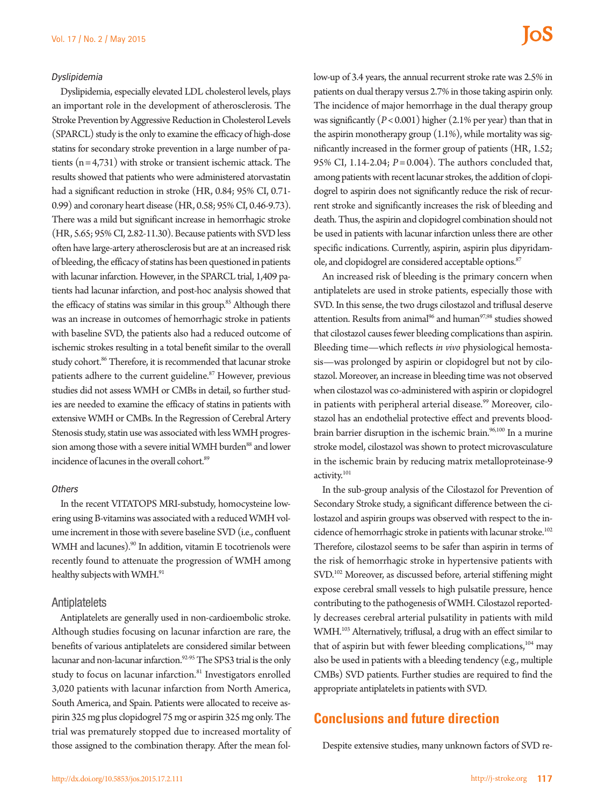#### Dyslipidemia

Dyslipidemia, especially elevated LDL cholesterol levels, plays an important role in the development of atherosclerosis. The Stroke Prevention by Aggressive Reduction in Cholesterol Levels (SPARCL) study is the only to examine the efficacy of high-dose statins for secondary stroke prevention in a large number of patients  $(n=4,731)$  with stroke or transient ischemic attack. The results showed that patients who were administered atorvastatin had a significant reduction in stroke (HR, 0.84; 95% CI, 0.71- 0.99) and coronary heart disease (HR, 0.58; 95% CI, 0.46-9.73). There was a mild but significant increase in hemorrhagic stroke (HR, 5.65; 95% CI, 2.82-11.30). Because patients with SVD less often have large-artery atherosclerosis but are at an increased risk of bleeding, the efficacy of statins has been questioned in patients with lacunar infarction. However, in the SPARCL trial, 1,409 patients had lacunar infarction, and post-hoc analysis showed that the efficacy of statins was similar in this group.<sup>85</sup> Although there was an increase in outcomes of hemorrhagic stroke in patients with baseline SVD, the patients also had a reduced outcome of ischemic strokes resulting in a total benefit similar to the overall study cohort.<sup>86</sup> Therefore, it is recommended that lacunar stroke patients adhere to the current guideline.<sup>87</sup> However, previous studies did not assess WMH or CMBs in detail, so further studies are needed to examine the efficacy of statins in patients with extensive WMH or CMBs. In the Regression of Cerebral Artery Stenosis study, statin use was associated with less WMH progression among those with a severe initial WMH burden<sup>88</sup> and lower incidence of lacunes in the overall cohort.<sup>89</sup>

#### **Others**

In the recent VITATOPS MRI-substudy, homocysteine lowering using B-vitamins was associated with a reduced WMH volume increment in those with severe baseline SVD (i.e., confluent WMH and lacunes).<sup>90</sup> In addition, vitamin E tocotrienols were recently found to attenuate the progression of WMH among healthy subjects with WMH.<sup>91</sup>

#### Antiplatelets

Antiplatelets are generally used in non-cardioembolic stroke. Although studies focusing on lacunar infarction are rare, the benefits of various antiplatelets are considered similar between lacunar and non-lacunar infarction.<sup>92-95</sup> The SPS3 trial is the only study to focus on lacunar infarction.<sup>81</sup> Investigators enrolled 3,020 patients with lacunar infarction from North America, South America, and Spain. Patients were allocated to receive aspirin 325 mg plus clopidogrel 75 mg or aspirin 325 mg only. The trial was prematurely stopped due to increased mortality of those assigned to the combination therapy. After the mean follow-up of 3.4 years, the annual recurrent stroke rate was 2.5% in patients on dual therapy versus 2.7% in those taking aspirin only. The incidence of major hemorrhage in the dual therapy group was significantly (*P*< 0.001) higher (2.1% per year) than that in the aspirin monotherapy group (1.1%), while mortality was significantly increased in the former group of patients (HR, 1.52; 95% CI, 1.14-2.04; *P*= 0.004). The authors concluded that, among patients with recent lacunar strokes, the addition of clopidogrel to aspirin does not significantly reduce the risk of recurrent stroke and significantly increases the risk of bleeding and death. Thus, the aspirin and clopidogrel combination should not be used in patients with lacunar infarction unless there are other specific indications. Currently, aspirin, aspirin plus dipyridamole, and clopidogrel are considered acceptable options.<sup>87</sup>

An increased risk of bleeding is the primary concern when antiplatelets are used in stroke patients, especially those with SVD. In this sense, the two drugs cilostazol and triflusal deserve attention. Results from animal<sup>96</sup> and human<sup>97,98</sup> studies showed that cilostazol causes fewer bleeding complications than aspirin. Bleeding time—which reflects *in vivo* physiological hemostasis—was prolonged by aspirin or clopidogrel but not by cilostazol. Moreover, an increase in bleeding time was not observed when cilostazol was co-administered with aspirin or clopidogrel in patients with peripheral arterial disease.<sup>99</sup> Moreover, cilostazol has an endothelial protective effect and prevents bloodbrain barrier disruption in the ischemic brain.<sup>96,100</sup> In a murine stroke model, cilostazol was shown to protect microvasculature in the ischemic brain by reducing matrix metalloproteinase-9 activity.<sup>101</sup>

In the sub-group analysis of the Cilostazol for Prevention of Secondary Stroke study, a significant difference between the cilostazol and aspirin groups was observed with respect to the incidence of hemorrhagic stroke in patients with lacunar stroke.<sup>102</sup> Therefore, cilostazol seems to be safer than aspirin in terms of the risk of hemorrhagic stroke in hypertensive patients with SVD.<sup>102</sup> Moreover, as discussed before, arterial stiffening might expose cerebral small vessels to high pulsatile pressure, hence contributing to the pathogenesis of WMH. Cilostazol reportedly decreases cerebral arterial pulsatility in patients with mild WMH.<sup>103</sup> Alternatively, triflusal, a drug with an effect similar to that of aspirin but with fewer bleeding complications,<sup>104</sup> may also be used in patients with a bleeding tendency (e.g., multiple CMBs) SVD patients. Further studies are required to find the appropriate antiplatelets in patients with SVD.

## **Conclusions and future direction**

Despite extensive studies, many unknown factors of SVD re-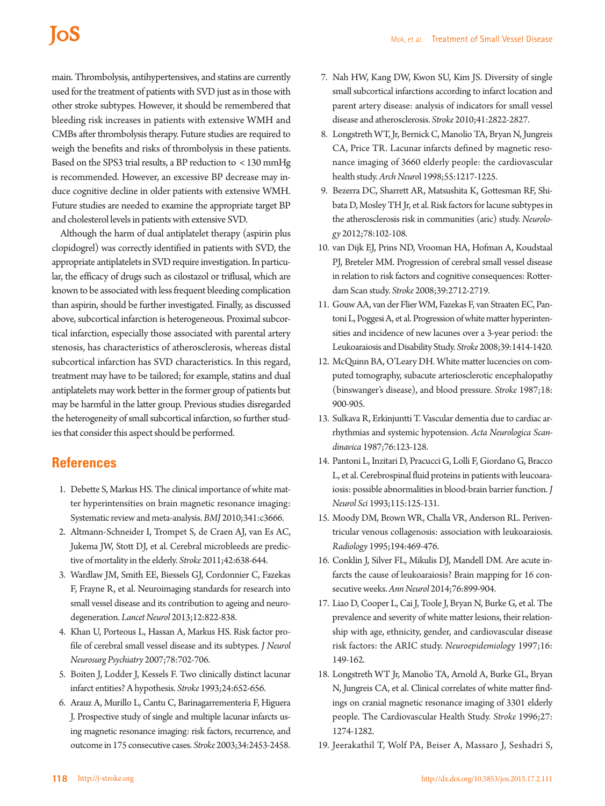# **IoS**

main. Thrombolysis, antihypertensives, and statins are currently used for the treatment of patients with SVD just as in those with other stroke subtypes. However, it should be remembered that bleeding risk increases in patients with extensive WMH and CMBs after thrombolysis therapy. Future studies are required to weigh the benefits and risks of thrombolysis in these patients. Based on the SPS3 trial results, a BP reduction to < 130 mmHg is recommended. However, an excessive BP decrease may induce cognitive decline in older patients with extensive WMH. Future studies are needed to examine the appropriate target BP and cholesterol levels in patients with extensive SVD.

Although the harm of dual antiplatelet therapy (aspirin plus clopidogrel) was correctly identified in patients with SVD, the appropriate antiplatelets in SVD require investigation. In particular, the efficacy of drugs such as cilostazol or triflusal, which are known to be associated with less frequent bleeding complication than aspirin, should be further investigated. Finally, as discussed above, subcortical infarction is heterogeneous. Proximal subcortical infarction, especially those associated with parental artery stenosis, has characteristics of atherosclerosis, whereas distal subcortical infarction has SVD characteristics. In this regard, treatment may have to be tailored; for example, statins and dual antiplatelets may work better in the former group of patients but may be harmful in the latter group. Previous studies disregarded the heterogeneity of small subcortical infarction, so further studies that consider this aspect should be performed.

## **References**

- 1. Debette S, Markus HS. The clinical importance of white matter hyperintensities on brain magnetic resonance imaging: Systematic review and meta-analysis. *BMJ* 2010;341:c3666.
- 2. Altmann-Schneider I, Trompet S, de Craen AJ, van Es AC, Jukema JW, Stott DJ, et al. Cerebral microbleeds are predictive of mortality in the elderly. *Stroke* 2011;42:638-644.
- 3. Wardlaw JM, Smith EE, Biessels GJ, Cordonnier C, Fazekas F, Frayne R, et al. Neuroimaging standards for research into small vessel disease and its contribution to ageing and neurodegeneration. *Lancet Neurol* 2013;12:822-838.
- 4. Khan U, Porteous L, Hassan A, Markus HS. Risk factor profile of cerebral small vessel disease and its subtypes. *J Neurol Neurosurg Psychiatry* 2007;78:702-706.
- 5. Boiten J, Lodder J, Kessels F. Two clinically distinct lacunar infarct entities? A hypothesis. *Stroke* 1993;24:652-656.
- 6. Arauz A, Murillo L, Cantu C, Barinagarrementeria F, Higuera J. Prospective study of single and multiple lacunar infarcts using magnetic resonance imaging: risk factors, recurrence, and outcome in 175 consecutive cases. *Stroke* 2003;34:2453-2458.
- 7. Nah HW, Kang DW, Kwon SU, Kim JS. Diversity of single small subcortical infarctions according to infarct location and parent artery disease: analysis of indicators for small vessel disease and atherosclerosis. *Stroke* 2010;41:2822-2827.
- 8. Longstreth WT, Jr, Bernick C, Manolio TA, Bryan N, Jungreis CA, Price TR. Lacunar infarcts defined by magnetic resonance imaging of 3660 elderly people: the cardiovascular health study. *Arch Neuro*l 1998;55:1217-1225.
- 9. Bezerra DC, Sharrett AR, Matsushita K, Gottesman RF, Shibata D, Mosley TH Jr, et al. Risk factors for lacune subtypes in the atherosclerosis risk in communities (aric) study. *Neurology* 2012;78:102-108.
- 10. van Dijk EJ, Prins ND, Vrooman HA, Hofman A, Koudstaal PJ, Breteler MM. Progression of cerebral small vessel disease in relation to risk factors and cognitive consequences: Rotterdam Scan study. *Stroke* 2008;39:2712-2719.
- 11. Gouw AA, van der Flier WM, Fazekas F, van Straaten EC, Pantoni L, Poggesi A, et al. Progression of white matter hyperintensities and incidence of new lacunes over a 3-year period: the Leukoaraiosis and Disability Study. *Stroke* 2008;39:1414-1420.
- 12. McQuinn BA, O'Leary DH. White matter lucencies on computed tomography, subacute arteriosclerotic encephalopathy (binswanger's disease), and blood pressure. *Stroke* 1987;18: 900-905.
- 13. Sulkava R, Erkinjuntti T. Vascular dementia due to cardiac arrhythmias and systemic hypotension. *Acta Neurologica Scandinavica* 1987;76:123-128.
- 14. Pantoni L, Inzitari D, Pracucci G, Lolli F, Giordano G, Bracco L, et al. Cerebrospinal fluid proteins in patients with leucoaraiosis: possible abnormalities in blood-brain barrier function. *J Neurol Sci* 1993;115:125-131.
- 15. Moody DM, Brown WR, Challa VR, Anderson RL. Periventricular venous collagenosis: association with leukoaraiosis. *Radiology* 1995;194:469-476.
- 16. Conklin J, Silver FL, Mikulis DJ, Mandell DM. Are acute infarcts the cause of leukoaraiosis? Brain mapping for 16 consecutive weeks. *Ann Neurol* 2014;76:899-904.
- 17. Liao D, Cooper L, Cai J, Toole J, Bryan N, Burke G, et al. The prevalence and severity of white matter lesions, their relationship with age, ethnicity, gender, and cardiovascular disease risk factors: the ARIC study. *Neuroepidemiolog*y 1997;16: 149-162.
- 18. Longstreth WT Jr, Manolio TA, Arnold A, Burke GL, Bryan N, Jungreis CA, et al. Clinical correlates of white matter findings on cranial magnetic resonance imaging of 3301 elderly people. The Cardiovascular Health Study. *Stroke* 1996;27: 1274-1282.
- 19. Jeerakathil T, Wolf PA, Beiser A, Massaro J, Seshadri S,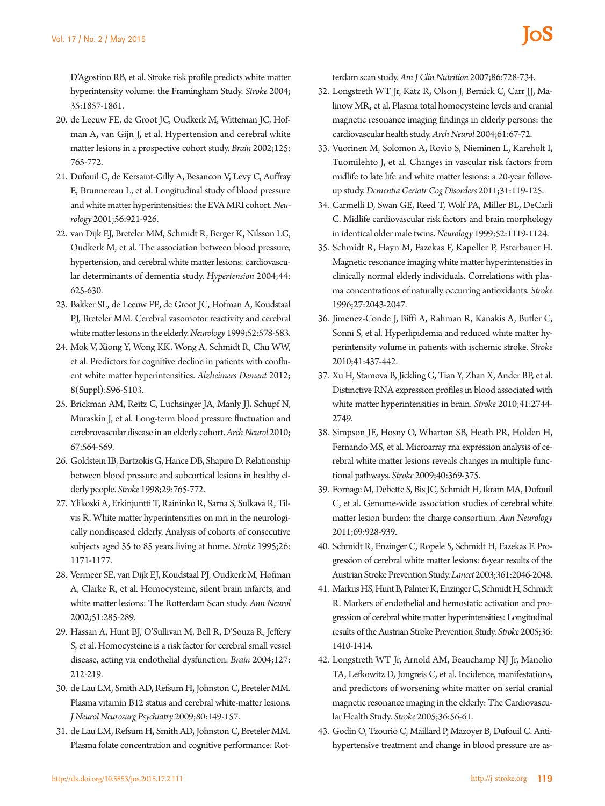D'Agostino RB, et al. Stroke risk profile predicts white matter hyperintensity volume: the Framingham Study. *Stroke* 2004; 35:1857-1861.

- 20. de Leeuw FE, de Groot JC, Oudkerk M, Witteman JC, Hofman A, van Gijn J, et al. Hypertension and cerebral white matter lesions in a prospective cohort study. *Brain* 2002;125: 765-772.
- 21. Dufouil C, de Kersaint-Gilly A, Besancon V, Levy C, Auffray E, Brunnereau L, et al. Longitudinal study of blood pressure and white matter hyperintensities: the EVA MRI cohort. *Neurology* 2001;56:921-926.
- 22. van Dijk EJ, Breteler MM, Schmidt R, Berger K, Nilsson LG, Oudkerk M, et al. The association between blood pressure, hypertension, and cerebral white matter lesions: cardiovascular determinants of dementia study. *Hypertension* 2004;44: 625-630.
- 23. Bakker SL, de Leeuw FE, de Groot JC, Hofman A, Koudstaal PJ, Breteler MM. Cerebral vasomotor reactivity and cerebral white matter lesions in the elderly. *Neurology* 1999;52:578-583.
- 24. Mok V, Xiong Y, Wong KK, Wong A, Schmidt R, Chu WW, et al. Predictors for cognitive decline in patients with confluent white matter hyperintensities. *Alzheimers Dement* 2012; 8(Suppl):S96-S103.
- 25. Brickman AM, Reitz C, Luchsinger JA, Manly JJ, Schupf N, Muraskin J, et al. Long-term blood pressure fluctuation and cerebrovascular disease in an elderly cohort. *Arch Neurol* 2010; 67:564-569.
- 26. Goldstein IB, Bartzokis G, Hance DB, Shapiro D. Relationship between blood pressure and subcortical lesions in healthy elderly people. *Stroke* 1998;29:765-772.
- 27. Ylikoski A, Erkinjuntti T, Raininko R, Sarna S, Sulkava R, Tilvis R. White matter hyperintensities on mri in the neurologically nondiseased elderly. Analysis of cohorts of consecutive subjects aged 55 to 85 years living at home. *Stroke* 1995;26: 1171-1177.
- 28. Vermeer SE, van Dijk EJ, Koudstaal PJ, Oudkerk M, Hofman A, Clarke R, et al. Homocysteine, silent brain infarcts, and white matter lesions: The Rotterdam Scan study. *Ann Neurol*  2002;51:285-289.
- 29. Hassan A, Hunt BJ, O'Sullivan M, Bell R, D'Souza R, Jeffery S, et al. Homocysteine is a risk factor for cerebral small vessel disease, acting via endothelial dysfunction. *Brain* 2004;127: 212-219.
- 30. de Lau LM, Smith AD, Refsum H, Johnston C, Breteler MM. Plasma vitamin B12 status and cerebral white-matter lesions. *J Neurol Neurosurg Psychiatry* 2009;80:149-157.
- 31. de Lau LM, Refsum H, Smith AD, Johnston C, Breteler MM. Plasma folate concentration and cognitive performance: Rot-

terdam scan study. *Am J Clin Nutrition* 2007;86:728-734.

- 32. Longstreth WT Jr, Katz R, Olson J, Bernick C, Carr JJ, Malinow MR, et al. Plasma total homocysteine levels and cranial magnetic resonance imaging findings in elderly persons: the cardiovascular health study. *Arch Neurol* 2004;61:67-72.
- 33. Vuorinen M, Solomon A, Rovio S, Nieminen L, Kareholt I, Tuomilehto J, et al. Changes in vascular risk factors from midlife to late life and white matter lesions: a 20-year followup study. *Dementia Geriatr Cog Disorders* 2011;31:119-125.
- 34. Carmelli D, Swan GE, Reed T, Wolf PA, Miller BL, DeCarli C. Midlife cardiovascular risk factors and brain morphology in identical older male twins. *Neurology* 1999;52:1119-1124.
- 35. Schmidt R, Hayn M, Fazekas F, Kapeller P, Esterbauer H. Magnetic resonance imaging white matter hyperintensities in clinically normal elderly individuals. Correlations with plasma concentrations of naturally occurring antioxidants. *Stroke*  1996;27:2043-2047.
- 36. Jimenez-Conde J, Biffi A, Rahman R, Kanakis A, Butler C, Sonni S, et al. Hyperlipidemia and reduced white matter hyperintensity volume in patients with ischemic stroke. *Stroke*  2010;41:437-442.
- 37. Xu H, Stamova B, Jickling G, Tian Y, Zhan X, Ander BP, et al. Distinctive RNA expression profiles in blood associated with white matter hyperintensities in brain. *Stroke* 2010;41:2744- 2749.
- 38. Simpson JE, Hosny O, Wharton SB, Heath PR, Holden H, Fernando MS, et al. Microarray rna expression analysis of cerebral white matter lesions reveals changes in multiple functional pathways. *Stroke* 2009;40:369-375.
- 39. Fornage M, Debette S, Bis JC, Schmidt H, Ikram MA, Dufouil C, et al. Genome-wide association studies of cerebral white matter lesion burden: the charge consortium. *Ann Neurology* 2011;69:928-939.
- 40. Schmidt R, Enzinger C, Ropele S, Schmidt H, Fazekas F. Progression of cerebral white matter lesions: 6-year results of the Austrian Stroke Prevention Study. *Lancet* 2003;361:2046-2048.
- 41. Markus HS, Hunt B, Palmer K, Enzinger C, Schmidt H, Schmidt R. Markers of endothelial and hemostatic activation and progression of cerebral white matter hyperintensities: Longitudinal results of the Austrian Stroke Prevention Study. *Stroke* 2005;36: 1410-1414.
- 42. Longstreth WT Jr, Arnold AM, Beauchamp NJ Jr, Manolio TA, Lefkowitz D, Jungreis C, et al. Incidence, manifestations, and predictors of worsening white matter on serial cranial magnetic resonance imaging in the elderly: The Cardiovascular Health Study. *Stroke* 2005;36:56-61.
- 43. Godin O, Tzourio C, Maillard P, Mazoyer B, Dufouil C. Antihypertensive treatment and change in blood pressure are as-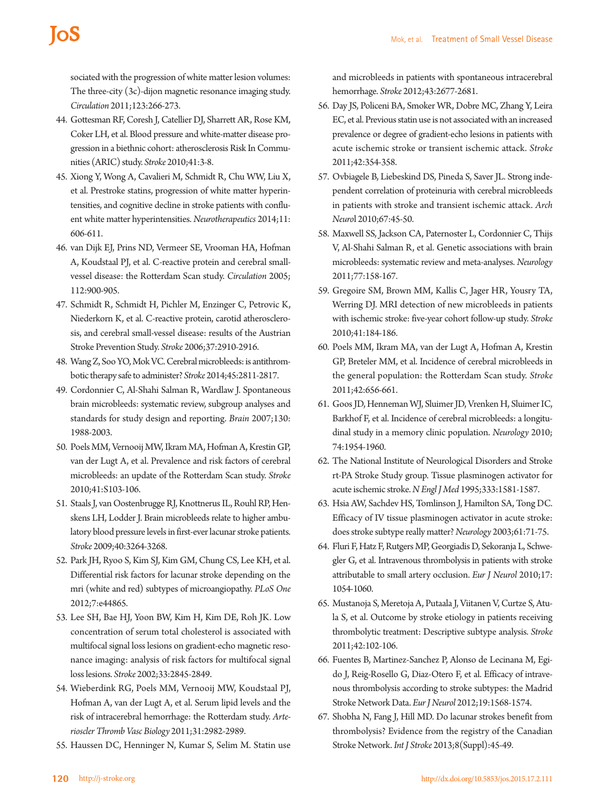# **IOS**

sociated with the progression of white matter lesion volumes: The three-city (3c)-dijon magnetic resonance imaging study. *Circulation* 2011;123:266-273.

- 44. Gottesman RF, Coresh J, Catellier DJ, Sharrett AR, Rose KM, Coker LH, et al. Blood pressure and white-matter disease progression in a biethnic cohort: atherosclerosis Risk In Communities (ARIC) study. *Stroke* 2010;41:3-8.
- 45. Xiong Y, Wong A, Cavalieri M, Schmidt R, Chu WW, Liu X, et al. Prestroke statins, progression of white matter hyperintensities, and cognitive decline in stroke patients with confluent white matter hyperintensities. *Neurotherapeutics* 2014;11: 606-611.
- 46. van Dijk EJ, Prins ND, Vermeer SE, Vrooman HA, Hofman A, Koudstaal PJ, et al. C-reactive protein and cerebral smallvessel disease: the Rotterdam Scan study. *Circulation* 2005; 112:900-905.
- 47. Schmidt R, Schmidt H, Pichler M, Enzinger C, Petrovic K, Niederkorn K, et al. C-reactive protein, carotid atherosclerosis, and cerebral small-vessel disease: results of the Austrian Stroke Prevention Study. *Stroke* 2006;37:2910-2916.
- 48. Wang Z, Soo YO, Mok VC. Cerebral microbleeds: is antithrombotic therapy safe to administer? *Stroke* 2014;45:2811-2817.
- 49. Cordonnier C, Al-Shahi Salman R, Wardlaw J. Spontaneous brain microbleeds: systematic review, subgroup analyses and standards for study design and reporting. *Brain* 2007;130: 1988-2003.
- 50. Poels MM, Vernooij MW, Ikram MA, Hofman A, Krestin GP, van der Lugt A, et al. Prevalence and risk factors of cerebral microbleeds: an update of the Rotterdam Scan study. *Stroke*  2010;41:S103-106.
- 51. Staals J, van Oostenbrugge RJ, Knottnerus IL, Rouhl RP, Henskens LH, Lodder J. Brain microbleeds relate to higher ambulatory blood pressure levels in first-ever lacunar stroke patients. *Stroke* 2009;40:3264-3268.
- 52. Park JH, Ryoo S, Kim SJ, Kim GM, Chung CS, Lee KH, et al. Differential risk factors for lacunar stroke depending on the mri (white and red) subtypes of microangiopathy. *PLoS One*  2012;7:e44865.
- 53. Lee SH, Bae HJ, Yoon BW, Kim H, Kim DE, Roh JK. Low concentration of serum total cholesterol is associated with multifocal signal loss lesions on gradient-echo magnetic resonance imaging: analysis of risk factors for multifocal signal loss lesions. *Stroke* 2002;33:2845-2849.
- 54. Wieberdink RG, Poels MM, Vernooij MW, Koudstaal PJ, Hofman A, van der Lugt A, et al. Serum lipid levels and the risk of intracerebral hemorrhage: the Rotterdam study. *Arterioscler Thromb Vasc Biology* 2011;31:2982-2989.
- 55. Haussen DC, Henninger N, Kumar S, Selim M. Statin use

and microbleeds in patients with spontaneous intracerebral hemorrhage. *Stroke* 2012;43:2677-2681.

- 56. Day JS, Policeni BA, Smoker WR, Dobre MC, Zhang Y, Leira EC, et al. Previous statin use is not associated with an increased prevalence or degree of gradient-echo lesions in patients with acute ischemic stroke or transient ischemic attack. *Stroke* 2011;42:354-358.
- 57. Ovbiagele B, Liebeskind DS, Pineda S, Saver JL. Strong independent correlation of proteinuria with cerebral microbleeds in patients with stroke and transient ischemic attack. *Arch Neuro*l 2010;67:45-50.
- 58. Maxwell SS, Jackson CA, Paternoster L, Cordonnier C, Thijs V, Al-Shahi Salman R, et al. Genetic associations with brain microbleeds: systematic review and meta-analyses. *Neurology* 2011;77:158-167.
- 59. Gregoire SM, Brown MM, Kallis C, Jager HR, Yousry TA, Werring DJ. MRI detection of new microbleeds in patients with ischemic stroke: five-year cohort follow-up study. *Stroke*  2010;41:184-186.
- 60. Poels MM, Ikram MA, van der Lugt A, Hofman A, Krestin GP, Breteler MM, et al. Incidence of cerebral microbleeds in the general population: the Rotterdam Scan study. *Stroke*  2011;42:656-661.
- 61. Goos JD, Henneman WJ, Sluimer JD, Vrenken H, Sluimer IC, Barkhof F, et al. Incidence of cerebral microbleeds: a longitudinal study in a memory clinic population. *Neurology* 2010; 74:1954-1960.
- 62. The National Institute of Neurological Disorders and Stroke rt-PA Stroke Study group. Tissue plasminogen activator for acute ischemic stroke. *N Engl J Med* 1995;333:1581-1587.
- 63. Hsia AW, Sachdev HS, Tomlinson J, Hamilton SA, Tong DC. Efficacy of IV tissue plasminogen activator in acute stroke: does stroke subtype really matter? *Neurology* 2003;61:71-75.
- 64. Fluri F, Hatz F, Rutgers MP, Georgiadis D, Sekoranja L, Schwegler G, et al. Intravenous thrombolysis in patients with stroke attributable to small artery occlusion. *Eur J Neurol* 2010;17: 1054-1060.
- 65. Mustanoja S, Meretoja A, Putaala J, Viitanen V, Curtze S, Atula S, et al. Outcome by stroke etiology in patients receiving thrombolytic treatment: Descriptive subtype analysis. *Stroke*  2011;42:102-106.
- 66. Fuentes B, Martinez-Sanchez P, Alonso de Lecinana M, Egido J, Reig-Rosello G, Diaz-Otero F, et al. Efficacy of intravenous thrombolysis according to stroke subtypes: the Madrid Stroke Network Data. *Eur J Neurol* 2012;19:1568-1574.
- 67. Shobha N, Fang J, Hill MD. Do lacunar strokes benefit from thrombolysis? Evidence from the registry of the Canadian Stroke Network. *Int J Stroke* 2013;8(Suppl):45-49.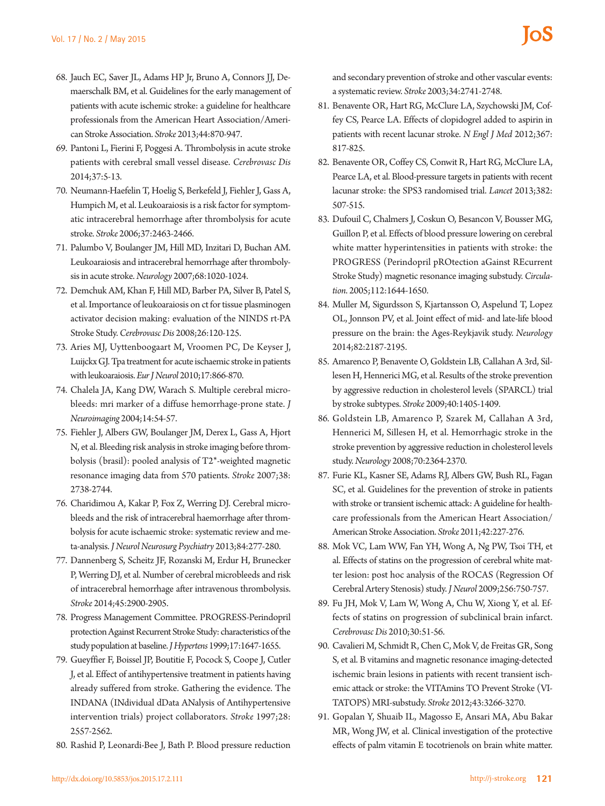- 68. Jauch EC, Saver JL, Adams HP Jr, Bruno A, Connors JJ, Demaerschalk BM, et al. Guidelines for the early management of patients with acute ischemic stroke: a guideline for healthcare professionals from the American Heart Association/American Stroke Association. *Stroke* 2013;44:870-947.
- 69. Pantoni L, Fierini F, Poggesi A. Thrombolysis in acute stroke patients with cerebral small vessel disease. *Cerebrovasc Dis*  2014;37:5-13.
- 70. Neumann-Haefelin T, Hoelig S, Berkefeld J, Fiehler J, Gass A, Humpich M, et al. Leukoaraiosis is a risk factor for symptomatic intracerebral hemorrhage after thrombolysis for acute stroke. *Stroke* 2006;37:2463-2466.
- 71. Palumbo V, Boulanger JM, Hill MD, Inzitari D, Buchan AM. Leukoaraiosis and intracerebral hemorrhage after thrombolysis in acute stroke. *Neurology* 2007;68:1020-1024.
- 72. Demchuk AM, Khan F, Hill MD, Barber PA, Silver B, Patel S, et al. Importance of leukoaraiosis on ct for tissue plasminogen activator decision making: evaluation of the NINDS rt-PA Stroke Study. *Cerebrovasc Dis* 2008;26:120-125.
- 73. Aries MJ, Uyttenboogaart M, Vroomen PC, De Keyser J, Luijckx GJ. Tpa treatment for acute ischaemic stroke in patients with leukoaraiosis. *Eur J Neurol* 2010;17:866-870.
- 74. Chalela JA, Kang DW, Warach S. Multiple cerebral microbleeds: mri marker of a diffuse hemorrhage-prone state. *J Neuroimaging* 2004;14:54-57.
- 75. Fiehler J, Albers GW, Boulanger JM, Derex L, Gass A, Hjort N, et al. Bleeding risk analysis in stroke imaging before thrombolysis (brasil): pooled analysis of T2\*-weighted magnetic resonance imaging data from 570 patients. *Stroke* 2007;38: 2738-2744.
- 76. Charidimou A, Kakar P, Fox Z, Werring DJ. Cerebral microbleeds and the risk of intracerebral haemorrhage after thrombolysis for acute ischaemic stroke: systematic review and meta-analysis. *J Neurol Neurosurg Psychiatry* 2013;84:277-280.
- 77. Dannenberg S, Scheitz JF, Rozanski M, Erdur H, Brunecker P, Werring DJ, et al. Number of cerebral microbleeds and risk of intracerebral hemorrhage after intravenous thrombolysis. *Stroke* 2014;45:2900-2905.
- 78. Progress Management Committee. PROGRESS-Perindopril protection Against Recurrent Stroke Study: characteristics of the study population at baseline. *J Hypertens* 1999;17:1647-1655.
- 79. Gueyffier F, Boissel JP, Boutitie F, Pocock S, Coope J, Cutler J, et al. Effect of antihypertensive treatment in patients having already suffered from stroke. Gathering the evidence. The INDANA (INdividual dData ANalysis of Antihypertensive intervention trials) project collaborators. *Stroke* 1997;28: 2557-2562.
- 80. Rashid P, Leonardi-Bee J, Bath P. Blood pressure reduction

and secondary prevention of stroke and other vascular events: a systematic review. *Stroke* 2003;34:2741-2748.

- 81. Benavente OR, Hart RG, McClure LA, Szychowski JM, Coffey CS, Pearce LA. Effects of clopidogrel added to aspirin in patients with recent lacunar stroke. *N Engl J Med* 2012;367: 817-825.
- 82. Benavente OR, Coffey CS, Conwit R, Hart RG, McClure LA, Pearce LA, et al. Blood-pressure targets in patients with recent lacunar stroke: the SPS3 randomised trial. *Lancet* 2013;382: 507-515.
- 83. Dufouil C, Chalmers J, Coskun O, Besancon V, Bousser MG, Guillon P, et al. Effects of blood pressure lowering on cerebral white matter hyperintensities in patients with stroke: the PROGRESS (Perindopril pROtection aGainst REcurrent Stroke Study) magnetic resonance imaging substudy. *Circulation*. 2005;112:1644-1650.
- 84. Muller M, Sigurdsson S, Kjartansson O, Aspelund T, Lopez OL, Jonnson PV, et al. Joint effect of mid- and late-life blood pressure on the brain: the Ages-Reykjavik study. *Neurology*  2014;82:2187-2195.
- 85. Amarenco P, Benavente O, Goldstein LB, Callahan A 3rd, Sillesen H, Hennerici MG, et al. Results of the stroke prevention by aggressive reduction in cholesterol levels (SPARCL) trial by stroke subtypes. *Stroke* 2009;40:1405-1409.
- 86. Goldstein LB, Amarenco P, Szarek M, Callahan A 3rd, Hennerici M, Sillesen H, et al. Hemorrhagic stroke in the stroke prevention by aggressive reduction in cholesterol levels study. *Neurology* 2008;70:2364-2370.
- 87. Furie KL, Kasner SE, Adams RJ, Albers GW, Bush RL, Fagan SC, et al. Guidelines for the prevention of stroke in patients with stroke or transient ischemic attack: A guideline for healthcare professionals from the American Heart Association/ American Stroke Association. *Stroke* 2011;42:227-276.
- 88. Mok VC, Lam WW, Fan YH, Wong A, Ng PW, Tsoi TH, et al. Effects of statins on the progression of cerebral white matter lesion: post hoc analysis of the ROCAS (Regression Of Cerebral Artery Stenosis) study. *J Neurol* 2009;256:750-757.
- 89. Fu JH, Mok V, Lam W, Wong A, Chu W, Xiong Y, et al. Effects of statins on progression of subclinical brain infarct. *Cerebrovasc Dis* 2010;30:51-56.
- 90. Cavalieri M, Schmidt R, Chen C, Mok V, de Freitas GR, Song S, et al. B vitamins and magnetic resonance imaging-detected ischemic brain lesions in patients with recent transient ischemic attack or stroke: the VITAmins TO Prevent Stroke (VI-TATOPS) MRI-substudy. *Stroke* 2012;43:3266-3270.
- 91. Gopalan Y, Shuaib IL, Magosso E, Ansari MA, Abu Bakar MR, Wong JW, et al. Clinical investigation of the protective effects of palm vitamin E tocotrienols on brain white matter.